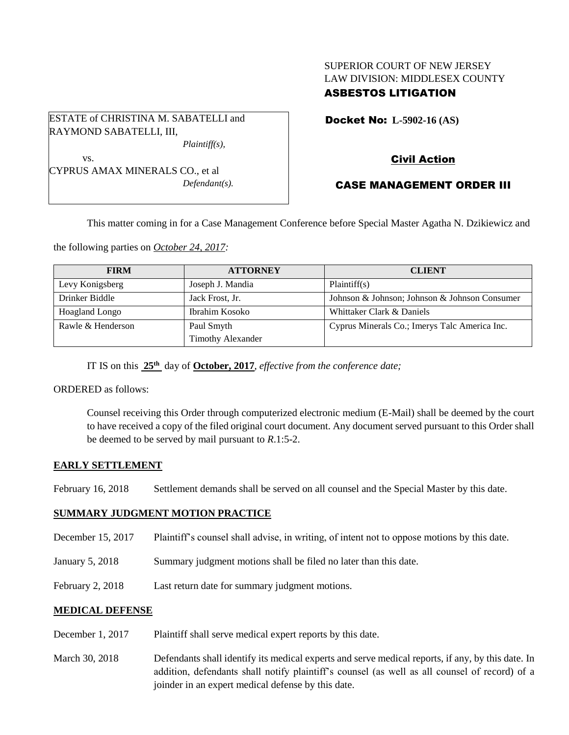# SUPERIOR COURT OF NEW JERSEY LAW DIVISION: MIDDLESEX COUNTY ASBESTOS LITIGATION

Docket No: **L-5902-16 (AS)** 

vs. CYPRUS AMAX MINERALS CO., et al

ESTATE of CHRISTINA M. SABATELLI and

RAYMOND SABATELLI, III,

*Defendant(s).*

*Plaintiff(s),*

# Civil Action

# CASE MANAGEMENT ORDER III

This matter coming in for a Case Management Conference before Special Master Agatha N. Dzikiewicz and

the following parties on *October 24, 2017:*

| <b>FIRM</b>           | <b>ATTORNEY</b>          | <b>CLIENT</b>                                 |
|-----------------------|--------------------------|-----------------------------------------------|
| Levy Konigsberg       | Joseph J. Mandia         | Plaintiff(s)                                  |
| Drinker Biddle        | Jack Frost, Jr.          | Johnson & Johnson; Johnson & Johnson Consumer |
| <b>Hoagland Longo</b> | Ibrahim Kosoko           | Whittaker Clark & Daniels                     |
| Rawle & Henderson     | Paul Smyth               | Cyprus Minerals Co.; Imerys Talc America Inc. |
|                       | <b>Timothy Alexander</b> |                                               |

IT IS on this **25th** day of **October, 2017**, *effective from the conference date;*

ORDERED as follows:

Counsel receiving this Order through computerized electronic medium (E-Mail) shall be deemed by the court to have received a copy of the filed original court document. Any document served pursuant to this Order shall be deemed to be served by mail pursuant to *R*.1:5-2.

## **EARLY SETTLEMENT**

February 16, 2018 Settlement demands shall be served on all counsel and the Special Master by this date.

## **SUMMARY JUDGMENT MOTION PRACTICE**

- December 15, 2017 Plaintiff's counsel shall advise, in writing, of intent not to oppose motions by this date.
- January 5, 2018 Summary judgment motions shall be filed no later than this date.
- February 2, 2018 Last return date for summary judgment motions.

## **MEDICAL DEFENSE**

- December 1, 2017 Plaintiff shall serve medical expert reports by this date.
- March 30, 2018 Defendants shall identify its medical experts and serve medical reports, if any, by this date. In addition, defendants shall notify plaintiff's counsel (as well as all counsel of record) of a joinder in an expert medical defense by this date.